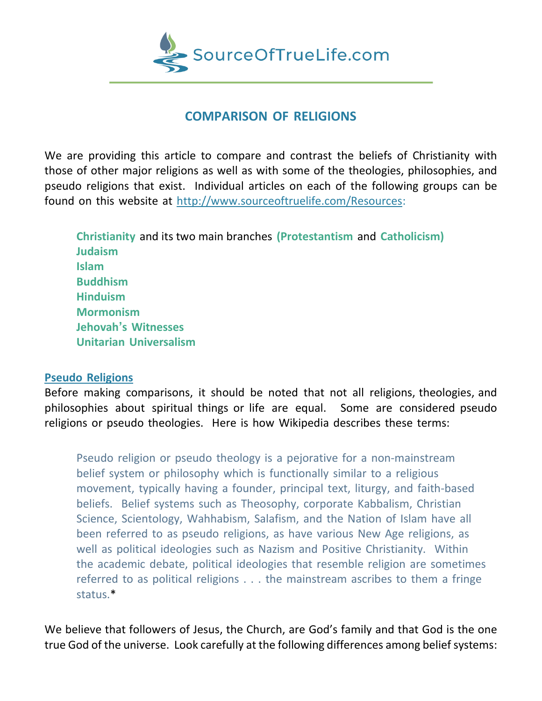

## **COMPARISON OF RELIGIONS**

We are providing this article to compare and contrast the beliefs of Christianity with those of other major religions as well as with some of the theologies, philosophies, and pseudo religions that exist. Individual articles on each of the following groups can be found on this website at [http://www.sourceoftruelife.com/Resources:](http://www.sourceoftruelife.com/Resources)

**Christianity** and its two main branches **(Protestantism** and **Catholicism) Judaism Islam Buddhism Hinduism Mormonism Jehovah's Witnesses Unitarian Universalism**

## **Pseudo Religions**

Before making comparisons, it should be noted that not all religions, theologies, and philosophies about spiritual things or life are equal. Some are considered pseudo religions or pseudo theologies. Here is how Wikipedia describes these terms:

Pseudo religion or pseudo theology is a pejorative for a non-mainstream belief system or philosophy which is functionally similar to a religious movement, typically having a founder, principal text, liturgy, and faith-based beliefs. Belief systems such as Theosophy, corporate Kabbalism, Christian Science, Scientology, Wahhabism, Salafism, and the Nation of Islam have all been referred to as pseudo religions, as have various New Age religions, as well as political ideologies such as Nazism and Positive Christianity. Within the academic debate, political ideologies that resemble religion are sometimes referred to as political religions . . . the mainstream ascribes to them a fringe status.\*

We believe that followers of Jesus, the Church, are God's family and that God is the one true God of the universe. Look carefully at the following differences among belief systems: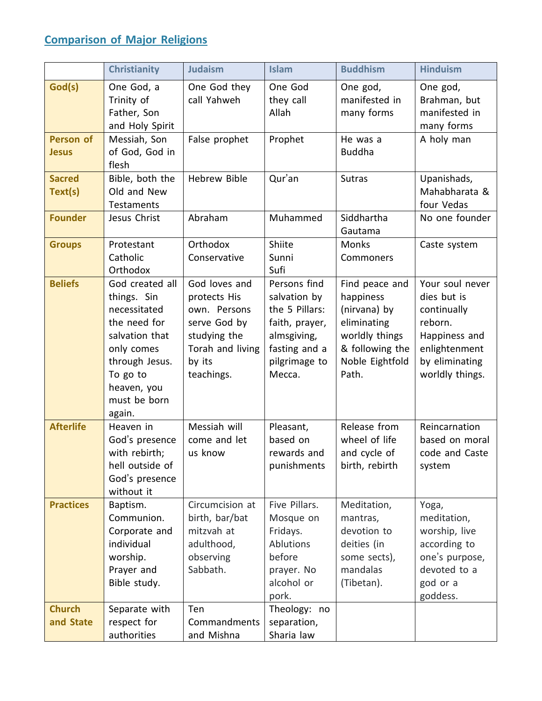## **Comparison of Major Religions**

|                                  | <b>Christianity</b>                                                                                                                                                   | <b>Judaism</b>                                                                                                            | <b>Islam</b>                                                                                                                | <b>Buddhism</b>                                                                                                             | <b>Hinduism</b>                                                                                                                 |
|----------------------------------|-----------------------------------------------------------------------------------------------------------------------------------------------------------------------|---------------------------------------------------------------------------------------------------------------------------|-----------------------------------------------------------------------------------------------------------------------------|-----------------------------------------------------------------------------------------------------------------------------|---------------------------------------------------------------------------------------------------------------------------------|
| God(s)                           | One God, a<br>Trinity of<br>Father, Son<br>and Holy Spirit                                                                                                            | One God they<br>call Yahweh                                                                                               | One God<br>they call<br>Allah                                                                                               | One god,<br>manifested in<br>many forms                                                                                     | One god,<br>Brahman, but<br>manifested in<br>many forms                                                                         |
| <b>Person of</b><br><b>Jesus</b> | Messiah, Son<br>of God, God in<br>flesh                                                                                                                               | False prophet                                                                                                             | Prophet                                                                                                                     | He was a<br><b>Buddha</b>                                                                                                   | A holy man                                                                                                                      |
| <b>Sacred</b><br>Text(s)         | Bible, both the<br>Old and New<br>Testaments                                                                                                                          | <b>Hebrew Bible</b>                                                                                                       | Qur'an                                                                                                                      | <b>Sutras</b>                                                                                                               | Upanishads,<br>Mahabharata &<br>four Vedas                                                                                      |
| <b>Founder</b>                   | Jesus Christ                                                                                                                                                          | Abraham                                                                                                                   | Muhammed                                                                                                                    | Siddhartha<br>Gautama                                                                                                       | No one founder                                                                                                                  |
| <b>Groups</b>                    | Protestant<br>Catholic<br>Orthodox                                                                                                                                    | Orthodox<br>Conservative                                                                                                  | Shiite<br>Sunni<br>Sufi                                                                                                     | <b>Monks</b><br>Commoners                                                                                                   | Caste system                                                                                                                    |
| <b>Beliefs</b>                   | God created all<br>things. Sin<br>necessitated<br>the need for<br>salvation that<br>only comes<br>through Jesus.<br>To go to<br>heaven, you<br>must be born<br>again. | God loves and<br>protects His<br>own. Persons<br>serve God by<br>studying the<br>Torah and living<br>by its<br>teachings. | Persons find<br>salvation by<br>the 5 Pillars:<br>faith, prayer,<br>almsgiving,<br>fasting and a<br>pilgrimage to<br>Mecca. | Find peace and<br>happiness<br>(nirvana) by<br>eliminating<br>worldly things<br>& following the<br>Noble Eightfold<br>Path. | Your soul never<br>dies but is<br>continually<br>reborn.<br>Happiness and<br>enlightenment<br>by eliminating<br>worldly things. |
| <b>Afterlife</b>                 | Heaven in<br>God's presence<br>with rebirth;<br>hell outside of<br>God's presence<br>without it                                                                       | Messiah will<br>come and let<br>us know                                                                                   | Pleasant,<br>based on<br>rewards and<br>punishments                                                                         | Release from<br>wheel of life<br>and cycle of<br>birth, rebirth                                                             | Reincarnation<br>based on moral<br>code and Caste<br>system                                                                     |
| <b>Practices</b>                 | Baptism.<br>Communion.<br>Corporate and<br>individual<br>worship.<br>Prayer and<br>Bible study.                                                                       | Circumcision at<br>birth, bar/bat<br>mitzvah at<br>adulthood,<br>observing<br>Sabbath.                                    | Five Pillars.<br>Mosque on<br>Fridays.<br>Ablutions<br>before<br>prayer. No<br>alcohol or<br>pork.                          | Meditation,<br>mantras,<br>devotion to<br>deities (in<br>some sects),<br>mandalas<br>(Tibetan).                             | Yoga,<br>meditation,<br>worship, live<br>according to<br>one's purpose,<br>devoted to a<br>god or a<br>goddess.                 |
| <b>Church</b><br>and State       | Separate with<br>respect for<br>authorities                                                                                                                           | Ten<br>Commandments<br>and Mishna                                                                                         | Theology: no<br>separation,<br>Sharia law                                                                                   |                                                                                                                             |                                                                                                                                 |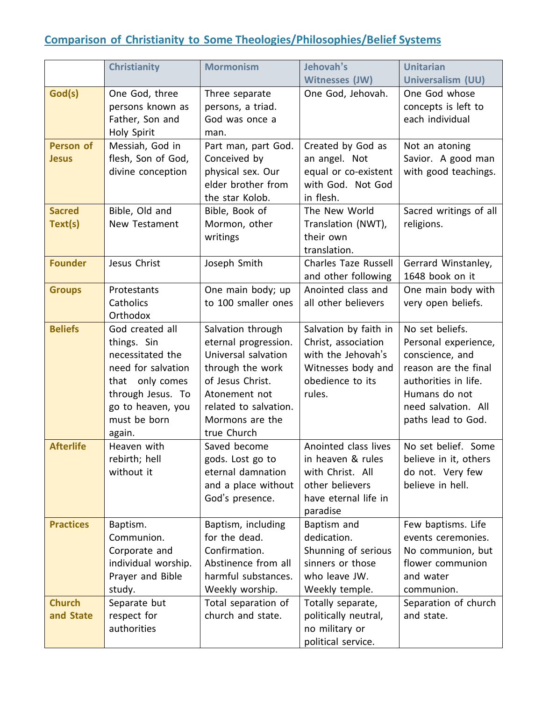## **Comparison of Christianity to Some Theologies/Philosophies/Belief Systems**

| <b>Mormonism</b><br>Jehovah's<br><b>Christianity</b><br><b>Unitarian</b><br>Witnesses (JW)<br>Universalism (UU)<br>God(s)<br>One God whose<br>One God, three<br>One God, Jehovah.<br>Three separate<br>persons known as<br>concepts is left to<br>persons, a triad.<br>Father, Son and<br>God was once a<br>each individual<br>Holy Spirit<br>man.<br>Person of<br>Messiah, God in<br>Created by God as<br>Part man, part God.<br>Not an atoning<br>flesh, Son of God,<br>Conceived by<br>an angel. Not<br>Savior. A good man<br><b>Jesus</b><br>physical sex. Our<br>equal or co-existent<br>with good teachings.<br>divine conception<br>elder brother from<br>with God. Not God<br>in flesh.<br>the star Kolob.<br><b>Sacred</b><br>Bible, Book of<br>Sacred writings of all<br>Bible, Old and<br>The New World<br>New Testament<br>Mormon, other<br>Translation (NWT),<br>religions.<br>Text(s)<br>their own<br>writings<br>translation.<br><b>Founder</b><br>Jesus Christ<br>Joseph Smith<br><b>Charles Taze Russell</b><br>Gerrard Winstanley,<br>and other following<br>1648 book on it<br>One main body; up<br>Anointed class and<br>One main body with<br><b>Groups</b><br>Protestants<br>to 100 smaller ones<br>Catholics<br>all other believers<br>very open beliefs.<br>Orthodox<br><b>Beliefs</b><br>Salvation by faith in<br>No set beliefs.<br>God created all<br>Salvation through<br>eternal progression.<br>Christ, association<br>things. Sin<br>Personal experience,<br>Universal salvation<br>with the Jehovah's<br>necessitated the<br>conscience, and<br>reason are the final<br>need for salvation<br>through the work<br>Witnesses body and<br>of Jesus Christ.<br>that only comes<br>obedience to its<br>authorities in life.<br>through Jesus. To<br>rules.<br>Humans do not<br>Atonement not<br>go to heaven, you<br>related to salvation.<br>need salvation. All<br>must be born<br>Mormons are the<br>paths lead to God.<br>true Church<br>again.<br><b>Afterlife</b><br>Heaven with<br>Saved become<br>Anointed class lives<br>No set belief. Some<br>rebirth; hell<br>gods. Lost go to<br>in heaven & rules<br>believe in it, others<br>without it<br>eternal damnation<br>with Christ. All<br>do not. Very few<br>other believers<br>believe in hell.<br>and a place without<br>have eternal life in<br>God's presence.<br>paradise<br><b>Practices</b><br>Baptism, including<br>Baptism and<br>Few baptisms. Life<br>Baptism. |            |               |             |                    |
|-----------------------------------------------------------------------------------------------------------------------------------------------------------------------------------------------------------------------------------------------------------------------------------------------------------------------------------------------------------------------------------------------------------------------------------------------------------------------------------------------------------------------------------------------------------------------------------------------------------------------------------------------------------------------------------------------------------------------------------------------------------------------------------------------------------------------------------------------------------------------------------------------------------------------------------------------------------------------------------------------------------------------------------------------------------------------------------------------------------------------------------------------------------------------------------------------------------------------------------------------------------------------------------------------------------------------------------------------------------------------------------------------------------------------------------------------------------------------------------------------------------------------------------------------------------------------------------------------------------------------------------------------------------------------------------------------------------------------------------------------------------------------------------------------------------------------------------------------------------------------------------------------------------------------------------------------------------------------------------------------------------------------------------------------------------------------------------------------------------------------------------------------------------------------------------------------------------------------------------------------------------------------------------------------------------------------------------------------------------------------------------------------------------------------------------------------------------------|------------|---------------|-------------|--------------------|
|                                                                                                                                                                                                                                                                                                                                                                                                                                                                                                                                                                                                                                                                                                                                                                                                                                                                                                                                                                                                                                                                                                                                                                                                                                                                                                                                                                                                                                                                                                                                                                                                                                                                                                                                                                                                                                                                                                                                                                                                                                                                                                                                                                                                                                                                                                                                                                                                                                                                 |            |               |             |                    |
|                                                                                                                                                                                                                                                                                                                                                                                                                                                                                                                                                                                                                                                                                                                                                                                                                                                                                                                                                                                                                                                                                                                                                                                                                                                                                                                                                                                                                                                                                                                                                                                                                                                                                                                                                                                                                                                                                                                                                                                                                                                                                                                                                                                                                                                                                                                                                                                                                                                                 |            |               |             |                    |
|                                                                                                                                                                                                                                                                                                                                                                                                                                                                                                                                                                                                                                                                                                                                                                                                                                                                                                                                                                                                                                                                                                                                                                                                                                                                                                                                                                                                                                                                                                                                                                                                                                                                                                                                                                                                                                                                                                                                                                                                                                                                                                                                                                                                                                                                                                                                                                                                                                                                 |            |               |             |                    |
|                                                                                                                                                                                                                                                                                                                                                                                                                                                                                                                                                                                                                                                                                                                                                                                                                                                                                                                                                                                                                                                                                                                                                                                                                                                                                                                                                                                                                                                                                                                                                                                                                                                                                                                                                                                                                                                                                                                                                                                                                                                                                                                                                                                                                                                                                                                                                                                                                                                                 |            |               |             |                    |
|                                                                                                                                                                                                                                                                                                                                                                                                                                                                                                                                                                                                                                                                                                                                                                                                                                                                                                                                                                                                                                                                                                                                                                                                                                                                                                                                                                                                                                                                                                                                                                                                                                                                                                                                                                                                                                                                                                                                                                                                                                                                                                                                                                                                                                                                                                                                                                                                                                                                 |            |               |             |                    |
|                                                                                                                                                                                                                                                                                                                                                                                                                                                                                                                                                                                                                                                                                                                                                                                                                                                                                                                                                                                                                                                                                                                                                                                                                                                                                                                                                                                                                                                                                                                                                                                                                                                                                                                                                                                                                                                                                                                                                                                                                                                                                                                                                                                                                                                                                                                                                                                                                                                                 |            |               |             |                    |
|                                                                                                                                                                                                                                                                                                                                                                                                                                                                                                                                                                                                                                                                                                                                                                                                                                                                                                                                                                                                                                                                                                                                                                                                                                                                                                                                                                                                                                                                                                                                                                                                                                                                                                                                                                                                                                                                                                                                                                                                                                                                                                                                                                                                                                                                                                                                                                                                                                                                 |            |               |             |                    |
|                                                                                                                                                                                                                                                                                                                                                                                                                                                                                                                                                                                                                                                                                                                                                                                                                                                                                                                                                                                                                                                                                                                                                                                                                                                                                                                                                                                                                                                                                                                                                                                                                                                                                                                                                                                                                                                                                                                                                                                                                                                                                                                                                                                                                                                                                                                                                                                                                                                                 |            |               |             |                    |
|                                                                                                                                                                                                                                                                                                                                                                                                                                                                                                                                                                                                                                                                                                                                                                                                                                                                                                                                                                                                                                                                                                                                                                                                                                                                                                                                                                                                                                                                                                                                                                                                                                                                                                                                                                                                                                                                                                                                                                                                                                                                                                                                                                                                                                                                                                                                                                                                                                                                 |            |               |             |                    |
|                                                                                                                                                                                                                                                                                                                                                                                                                                                                                                                                                                                                                                                                                                                                                                                                                                                                                                                                                                                                                                                                                                                                                                                                                                                                                                                                                                                                                                                                                                                                                                                                                                                                                                                                                                                                                                                                                                                                                                                                                                                                                                                                                                                                                                                                                                                                                                                                                                                                 |            |               |             |                    |
|                                                                                                                                                                                                                                                                                                                                                                                                                                                                                                                                                                                                                                                                                                                                                                                                                                                                                                                                                                                                                                                                                                                                                                                                                                                                                                                                                                                                                                                                                                                                                                                                                                                                                                                                                                                                                                                                                                                                                                                                                                                                                                                                                                                                                                                                                                                                                                                                                                                                 |            |               |             |                    |
|                                                                                                                                                                                                                                                                                                                                                                                                                                                                                                                                                                                                                                                                                                                                                                                                                                                                                                                                                                                                                                                                                                                                                                                                                                                                                                                                                                                                                                                                                                                                                                                                                                                                                                                                                                                                                                                                                                                                                                                                                                                                                                                                                                                                                                                                                                                                                                                                                                                                 |            |               |             |                    |
|                                                                                                                                                                                                                                                                                                                                                                                                                                                                                                                                                                                                                                                                                                                                                                                                                                                                                                                                                                                                                                                                                                                                                                                                                                                                                                                                                                                                                                                                                                                                                                                                                                                                                                                                                                                                                                                                                                                                                                                                                                                                                                                                                                                                                                                                                                                                                                                                                                                                 |            |               |             |                    |
|                                                                                                                                                                                                                                                                                                                                                                                                                                                                                                                                                                                                                                                                                                                                                                                                                                                                                                                                                                                                                                                                                                                                                                                                                                                                                                                                                                                                                                                                                                                                                                                                                                                                                                                                                                                                                                                                                                                                                                                                                                                                                                                                                                                                                                                                                                                                                                                                                                                                 |            |               |             |                    |
|                                                                                                                                                                                                                                                                                                                                                                                                                                                                                                                                                                                                                                                                                                                                                                                                                                                                                                                                                                                                                                                                                                                                                                                                                                                                                                                                                                                                                                                                                                                                                                                                                                                                                                                                                                                                                                                                                                                                                                                                                                                                                                                                                                                                                                                                                                                                                                                                                                                                 |            |               |             |                    |
|                                                                                                                                                                                                                                                                                                                                                                                                                                                                                                                                                                                                                                                                                                                                                                                                                                                                                                                                                                                                                                                                                                                                                                                                                                                                                                                                                                                                                                                                                                                                                                                                                                                                                                                                                                                                                                                                                                                                                                                                                                                                                                                                                                                                                                                                                                                                                                                                                                                                 |            |               |             |                    |
|                                                                                                                                                                                                                                                                                                                                                                                                                                                                                                                                                                                                                                                                                                                                                                                                                                                                                                                                                                                                                                                                                                                                                                                                                                                                                                                                                                                                                                                                                                                                                                                                                                                                                                                                                                                                                                                                                                                                                                                                                                                                                                                                                                                                                                                                                                                                                                                                                                                                 |            |               |             |                    |
|                                                                                                                                                                                                                                                                                                                                                                                                                                                                                                                                                                                                                                                                                                                                                                                                                                                                                                                                                                                                                                                                                                                                                                                                                                                                                                                                                                                                                                                                                                                                                                                                                                                                                                                                                                                                                                                                                                                                                                                                                                                                                                                                                                                                                                                                                                                                                                                                                                                                 |            |               |             |                    |
|                                                                                                                                                                                                                                                                                                                                                                                                                                                                                                                                                                                                                                                                                                                                                                                                                                                                                                                                                                                                                                                                                                                                                                                                                                                                                                                                                                                                                                                                                                                                                                                                                                                                                                                                                                                                                                                                                                                                                                                                                                                                                                                                                                                                                                                                                                                                                                                                                                                                 |            |               |             |                    |
|                                                                                                                                                                                                                                                                                                                                                                                                                                                                                                                                                                                                                                                                                                                                                                                                                                                                                                                                                                                                                                                                                                                                                                                                                                                                                                                                                                                                                                                                                                                                                                                                                                                                                                                                                                                                                                                                                                                                                                                                                                                                                                                                                                                                                                                                                                                                                                                                                                                                 |            |               |             |                    |
|                                                                                                                                                                                                                                                                                                                                                                                                                                                                                                                                                                                                                                                                                                                                                                                                                                                                                                                                                                                                                                                                                                                                                                                                                                                                                                                                                                                                                                                                                                                                                                                                                                                                                                                                                                                                                                                                                                                                                                                                                                                                                                                                                                                                                                                                                                                                                                                                                                                                 |            |               |             |                    |
|                                                                                                                                                                                                                                                                                                                                                                                                                                                                                                                                                                                                                                                                                                                                                                                                                                                                                                                                                                                                                                                                                                                                                                                                                                                                                                                                                                                                                                                                                                                                                                                                                                                                                                                                                                                                                                                                                                                                                                                                                                                                                                                                                                                                                                                                                                                                                                                                                                                                 |            |               |             |                    |
|                                                                                                                                                                                                                                                                                                                                                                                                                                                                                                                                                                                                                                                                                                                                                                                                                                                                                                                                                                                                                                                                                                                                                                                                                                                                                                                                                                                                                                                                                                                                                                                                                                                                                                                                                                                                                                                                                                                                                                                                                                                                                                                                                                                                                                                                                                                                                                                                                                                                 |            |               |             |                    |
|                                                                                                                                                                                                                                                                                                                                                                                                                                                                                                                                                                                                                                                                                                                                                                                                                                                                                                                                                                                                                                                                                                                                                                                                                                                                                                                                                                                                                                                                                                                                                                                                                                                                                                                                                                                                                                                                                                                                                                                                                                                                                                                                                                                                                                                                                                                                                                                                                                                                 |            |               |             |                    |
|                                                                                                                                                                                                                                                                                                                                                                                                                                                                                                                                                                                                                                                                                                                                                                                                                                                                                                                                                                                                                                                                                                                                                                                                                                                                                                                                                                                                                                                                                                                                                                                                                                                                                                                                                                                                                                                                                                                                                                                                                                                                                                                                                                                                                                                                                                                                                                                                                                                                 |            |               |             |                    |
|                                                                                                                                                                                                                                                                                                                                                                                                                                                                                                                                                                                                                                                                                                                                                                                                                                                                                                                                                                                                                                                                                                                                                                                                                                                                                                                                                                                                                                                                                                                                                                                                                                                                                                                                                                                                                                                                                                                                                                                                                                                                                                                                                                                                                                                                                                                                                                                                                                                                 |            |               |             |                    |
|                                                                                                                                                                                                                                                                                                                                                                                                                                                                                                                                                                                                                                                                                                                                                                                                                                                                                                                                                                                                                                                                                                                                                                                                                                                                                                                                                                                                                                                                                                                                                                                                                                                                                                                                                                                                                                                                                                                                                                                                                                                                                                                                                                                                                                                                                                                                                                                                                                                                 |            |               |             |                    |
|                                                                                                                                                                                                                                                                                                                                                                                                                                                                                                                                                                                                                                                                                                                                                                                                                                                                                                                                                                                                                                                                                                                                                                                                                                                                                                                                                                                                                                                                                                                                                                                                                                                                                                                                                                                                                                                                                                                                                                                                                                                                                                                                                                                                                                                                                                                                                                                                                                                                 |            |               |             |                    |
|                                                                                                                                                                                                                                                                                                                                                                                                                                                                                                                                                                                                                                                                                                                                                                                                                                                                                                                                                                                                                                                                                                                                                                                                                                                                                                                                                                                                                                                                                                                                                                                                                                                                                                                                                                                                                                                                                                                                                                                                                                                                                                                                                                                                                                                                                                                                                                                                                                                                 |            |               |             |                    |
|                                                                                                                                                                                                                                                                                                                                                                                                                                                                                                                                                                                                                                                                                                                                                                                                                                                                                                                                                                                                                                                                                                                                                                                                                                                                                                                                                                                                                                                                                                                                                                                                                                                                                                                                                                                                                                                                                                                                                                                                                                                                                                                                                                                                                                                                                                                                                                                                                                                                 |            |               |             |                    |
|                                                                                                                                                                                                                                                                                                                                                                                                                                                                                                                                                                                                                                                                                                                                                                                                                                                                                                                                                                                                                                                                                                                                                                                                                                                                                                                                                                                                                                                                                                                                                                                                                                                                                                                                                                                                                                                                                                                                                                                                                                                                                                                                                                                                                                                                                                                                                                                                                                                                 |            |               |             |                    |
|                                                                                                                                                                                                                                                                                                                                                                                                                                                                                                                                                                                                                                                                                                                                                                                                                                                                                                                                                                                                                                                                                                                                                                                                                                                                                                                                                                                                                                                                                                                                                                                                                                                                                                                                                                                                                                                                                                                                                                                                                                                                                                                                                                                                                                                                                                                                                                                                                                                                 |            |               |             |                    |
|                                                                                                                                                                                                                                                                                                                                                                                                                                                                                                                                                                                                                                                                                                                                                                                                                                                                                                                                                                                                                                                                                                                                                                                                                                                                                                                                                                                                                                                                                                                                                                                                                                                                                                                                                                                                                                                                                                                                                                                                                                                                                                                                                                                                                                                                                                                                                                                                                                                                 |            |               |             |                    |
|                                                                                                                                                                                                                                                                                                                                                                                                                                                                                                                                                                                                                                                                                                                                                                                                                                                                                                                                                                                                                                                                                                                                                                                                                                                                                                                                                                                                                                                                                                                                                                                                                                                                                                                                                                                                                                                                                                                                                                                                                                                                                                                                                                                                                                                                                                                                                                                                                                                                 |            |               |             |                    |
|                                                                                                                                                                                                                                                                                                                                                                                                                                                                                                                                                                                                                                                                                                                                                                                                                                                                                                                                                                                                                                                                                                                                                                                                                                                                                                                                                                                                                                                                                                                                                                                                                                                                                                                                                                                                                                                                                                                                                                                                                                                                                                                                                                                                                                                                                                                                                                                                                                                                 |            |               |             |                    |
|                                                                                                                                                                                                                                                                                                                                                                                                                                                                                                                                                                                                                                                                                                                                                                                                                                                                                                                                                                                                                                                                                                                                                                                                                                                                                                                                                                                                                                                                                                                                                                                                                                                                                                                                                                                                                                                                                                                                                                                                                                                                                                                                                                                                                                                                                                                                                                                                                                                                 |            |               |             |                    |
|                                                                                                                                                                                                                                                                                                                                                                                                                                                                                                                                                                                                                                                                                                                                                                                                                                                                                                                                                                                                                                                                                                                                                                                                                                                                                                                                                                                                                                                                                                                                                                                                                                                                                                                                                                                                                                                                                                                                                                                                                                                                                                                                                                                                                                                                                                                                                                                                                                                                 | Communion. | for the dead. | dedication. | events ceremonies. |
| Shunning of serious<br>Confirmation.<br>Corporate and<br>No communion, but                                                                                                                                                                                                                                                                                                                                                                                                                                                                                                                                                                                                                                                                                                                                                                                                                                                                                                                                                                                                                                                                                                                                                                                                                                                                                                                                                                                                                                                                                                                                                                                                                                                                                                                                                                                                                                                                                                                                                                                                                                                                                                                                                                                                                                                                                                                                                                                      |            |               |             |                    |
| Abstinence from all<br>sinners or those<br>individual worship.<br>flower communion                                                                                                                                                                                                                                                                                                                                                                                                                                                                                                                                                                                                                                                                                                                                                                                                                                                                                                                                                                                                                                                                                                                                                                                                                                                                                                                                                                                                                                                                                                                                                                                                                                                                                                                                                                                                                                                                                                                                                                                                                                                                                                                                                                                                                                                                                                                                                                              |            |               |             |                    |
| harmful substances.<br>Prayer and Bible<br>who leave JW.<br>and water                                                                                                                                                                                                                                                                                                                                                                                                                                                                                                                                                                                                                                                                                                                                                                                                                                                                                                                                                                                                                                                                                                                                                                                                                                                                                                                                                                                                                                                                                                                                                                                                                                                                                                                                                                                                                                                                                                                                                                                                                                                                                                                                                                                                                                                                                                                                                                                           |            |               |             |                    |
| Weekly worship.<br>Weekly temple.<br>study.<br>communion.                                                                                                                                                                                                                                                                                                                                                                                                                                                                                                                                                                                                                                                                                                                                                                                                                                                                                                                                                                                                                                                                                                                                                                                                                                                                                                                                                                                                                                                                                                                                                                                                                                                                                                                                                                                                                                                                                                                                                                                                                                                                                                                                                                                                                                                                                                                                                                                                       |            |               |             |                    |
| <b>Church</b><br>Separate but<br>Separation of church<br>Total separation of<br>Totally separate,                                                                                                                                                                                                                                                                                                                                                                                                                                                                                                                                                                                                                                                                                                                                                                                                                                                                                                                                                                                                                                                                                                                                                                                                                                                                                                                                                                                                                                                                                                                                                                                                                                                                                                                                                                                                                                                                                                                                                                                                                                                                                                                                                                                                                                                                                                                                                               |            |               |             |                    |
| church and state.<br>respect for<br>politically neutral,<br>and State<br>and state.                                                                                                                                                                                                                                                                                                                                                                                                                                                                                                                                                                                                                                                                                                                                                                                                                                                                                                                                                                                                                                                                                                                                                                                                                                                                                                                                                                                                                                                                                                                                                                                                                                                                                                                                                                                                                                                                                                                                                                                                                                                                                                                                                                                                                                                                                                                                                                             |            |               |             |                    |
| authorities<br>no military or                                                                                                                                                                                                                                                                                                                                                                                                                                                                                                                                                                                                                                                                                                                                                                                                                                                                                                                                                                                                                                                                                                                                                                                                                                                                                                                                                                                                                                                                                                                                                                                                                                                                                                                                                                                                                                                                                                                                                                                                                                                                                                                                                                                                                                                                                                                                                                                                                                   |            |               |             |                    |
| political service.                                                                                                                                                                                                                                                                                                                                                                                                                                                                                                                                                                                                                                                                                                                                                                                                                                                                                                                                                                                                                                                                                                                                                                                                                                                                                                                                                                                                                                                                                                                                                                                                                                                                                                                                                                                                                                                                                                                                                                                                                                                                                                                                                                                                                                                                                                                                                                                                                                              |            |               |             |                    |